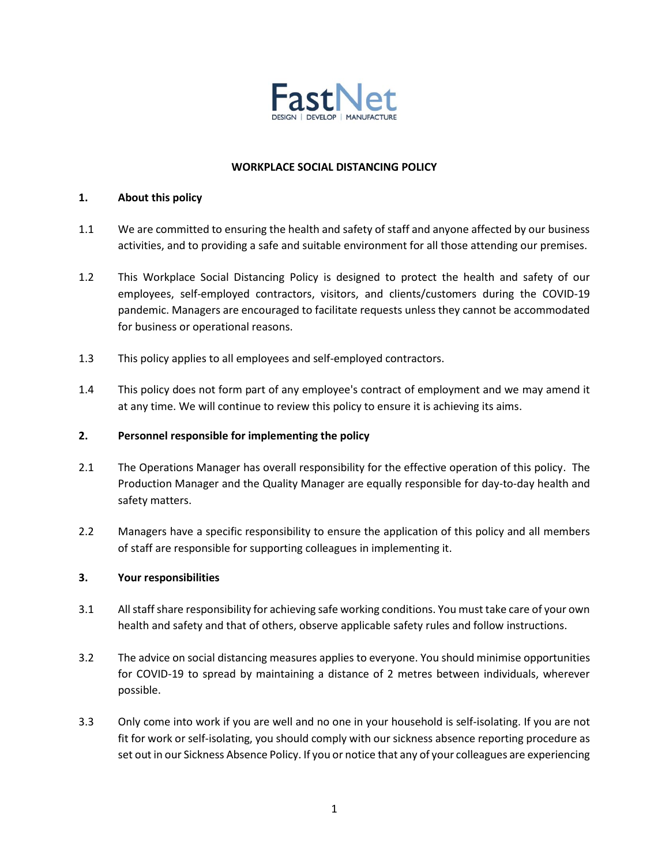

# **WORKPLACE SOCIAL DISTANCING POLICY**

#### **1. About this policy**

- 1.1 We are committed to ensuring the health and safety of staff and anyone affected by our business activities, and to providing a safe and suitable environment for all those attending our premises.
- 1.2 This Workplace Social Distancing Policy is designed to protect the health and safety of our employees, self-employed contractors, visitors, and clients/customers during the COVID-19 pandemic. Managers are encouraged to facilitate requests unless they cannot be accommodated for business or operational reasons.
- 1.3 This policy applies to all employees and self-employed contractors.
- 1.4 This policy does not form part of any employee's contract of employment and we may amend it at any time. We will continue to review this policy to ensure it is achieving its aims.

# **2. Personnel responsible for implementing the policy**

- 2.1 The Operations Manager has overall responsibility for the effective operation of this policy. The Production Manager and the Quality Manager are equally responsible for day-to-day health and safety matters.
- 2.2 Managers have a specific responsibility to ensure the application of this policy and all members of staff are responsible for supporting colleagues in implementing it.

# **3. Your responsibilities**

- 3.1 All staff share responsibility for achieving safe working conditions. You must take care of your own health and safety and that of others, observe applicable safety rules and follow instructions.
- 3.2 The advice on social distancing measures applies to everyone. You should minimise opportunities for COVID-19 to spread by maintaining a distance of 2 metres between individuals, wherever possible.
- 3.3 Only come into work if you are well and no one in your household is self-isolating. If you are not fit for work or self-isolating, you should comply with our sickness absence reporting procedure as set out in our Sickness Absence Policy. If you or notice that any of your colleagues are experiencing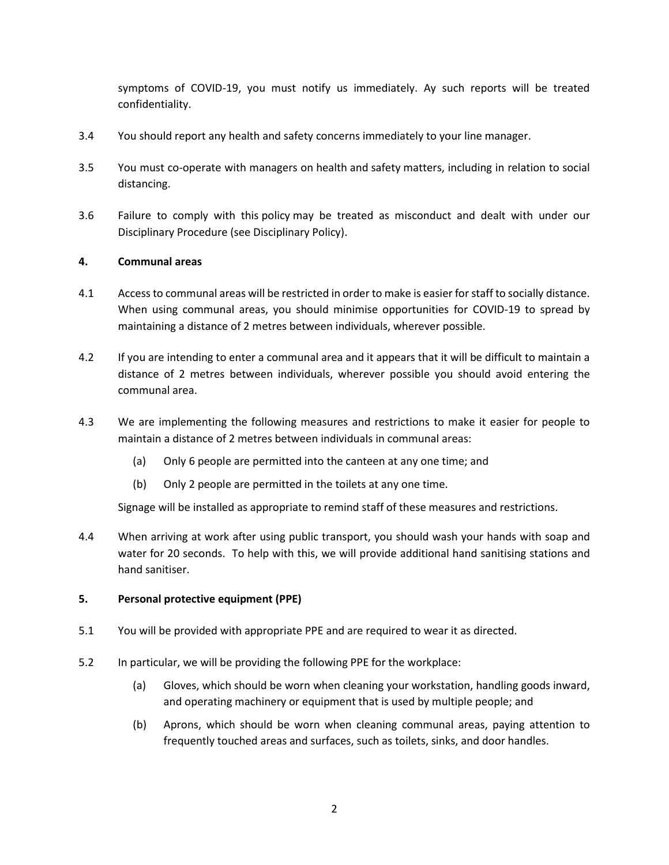symptoms of COVID-19, you must notify us immediately. Ay such reports will be treated confidentiality.

- 3.4 You should report any health and safety concerns immediately to your line manager.
- 3.5 You must co-operate with managers on health and safety matters, including in relation to social distancing.
- 3.6 Failure to comply with this policy may be treated as misconduct and dealt with under our Disciplinary Procedure (see Disciplinary Policy).

#### **4. Communal areas**

- 4.1 Access to communal areas will be restricted in order to make is easier for staff to socially distance. When using communal areas, you should minimise opportunities for COVID-19 to spread by maintaining a distance of 2 metres between individuals, wherever possible.
- 4.2 If you are intending to enter a communal area and it appears that it will be difficult to maintain a distance of 2 metres between individuals, wherever possible you should avoid entering the communal area.
- 4.3 We are implementing the following measures and restrictions to make it easier for people to maintain a distance of 2 metres between individuals in communal areas:
	- (a) Only 6 people are permitted into the canteen at any one time; and
	- (b) Only 2 people are permitted in the toilets at any one time.

Signage will be installed as appropriate to remind staff of these measures and restrictions.

4.4 When arriving at work after using public transport, you should wash your hands with soap and water for 20 seconds. To help with this, we will provide additional hand sanitising stations and hand sanitiser.

#### **5. Personal protective equipment (PPE)**

- 5.1 You will be provided with appropriate PPE and are required to wear it as directed.
- 5.2 In particular, we will be providing the following PPE for the workplace:
	- (a) Gloves, which should be worn when cleaning your workstation, handling goods inward, and operating machinery or equipment that is used by multiple people; and
	- (b) Aprons, which should be worn when cleaning communal areas, paying attention to frequently touched areas and surfaces, such as toilets, sinks, and door handles.